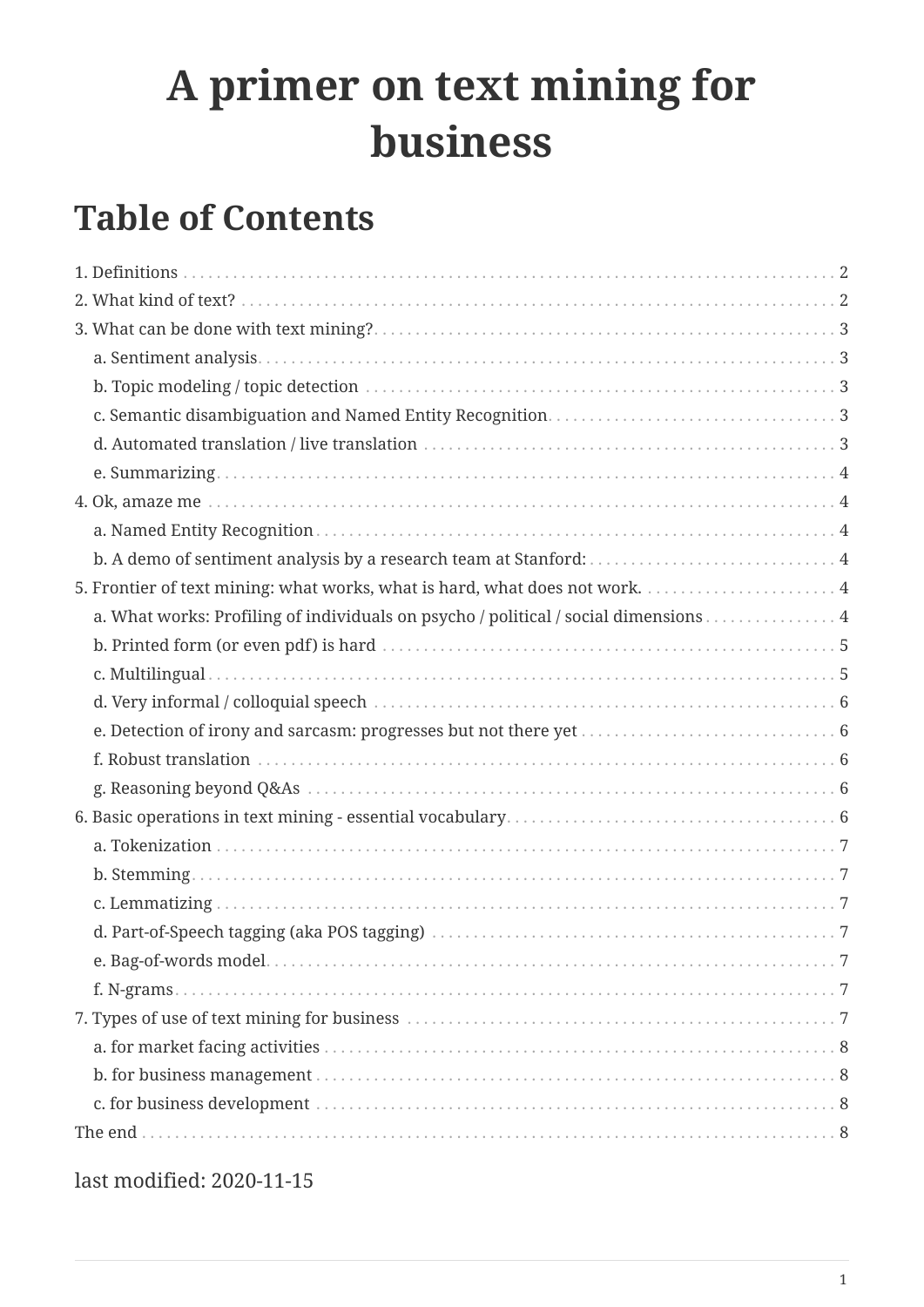# **A primer on text mining for business**

# **Table of Contents**

| a. What works: Profiling of individuals on psycho / political / social dimensions 4 |  |
|-------------------------------------------------------------------------------------|--|
|                                                                                     |  |
|                                                                                     |  |
|                                                                                     |  |
|                                                                                     |  |
|                                                                                     |  |
|                                                                                     |  |
|                                                                                     |  |
|                                                                                     |  |
|                                                                                     |  |
|                                                                                     |  |
|                                                                                     |  |
|                                                                                     |  |
|                                                                                     |  |
|                                                                                     |  |
|                                                                                     |  |
|                                                                                     |  |
|                                                                                     |  |
|                                                                                     |  |

last modified: 2020-11-15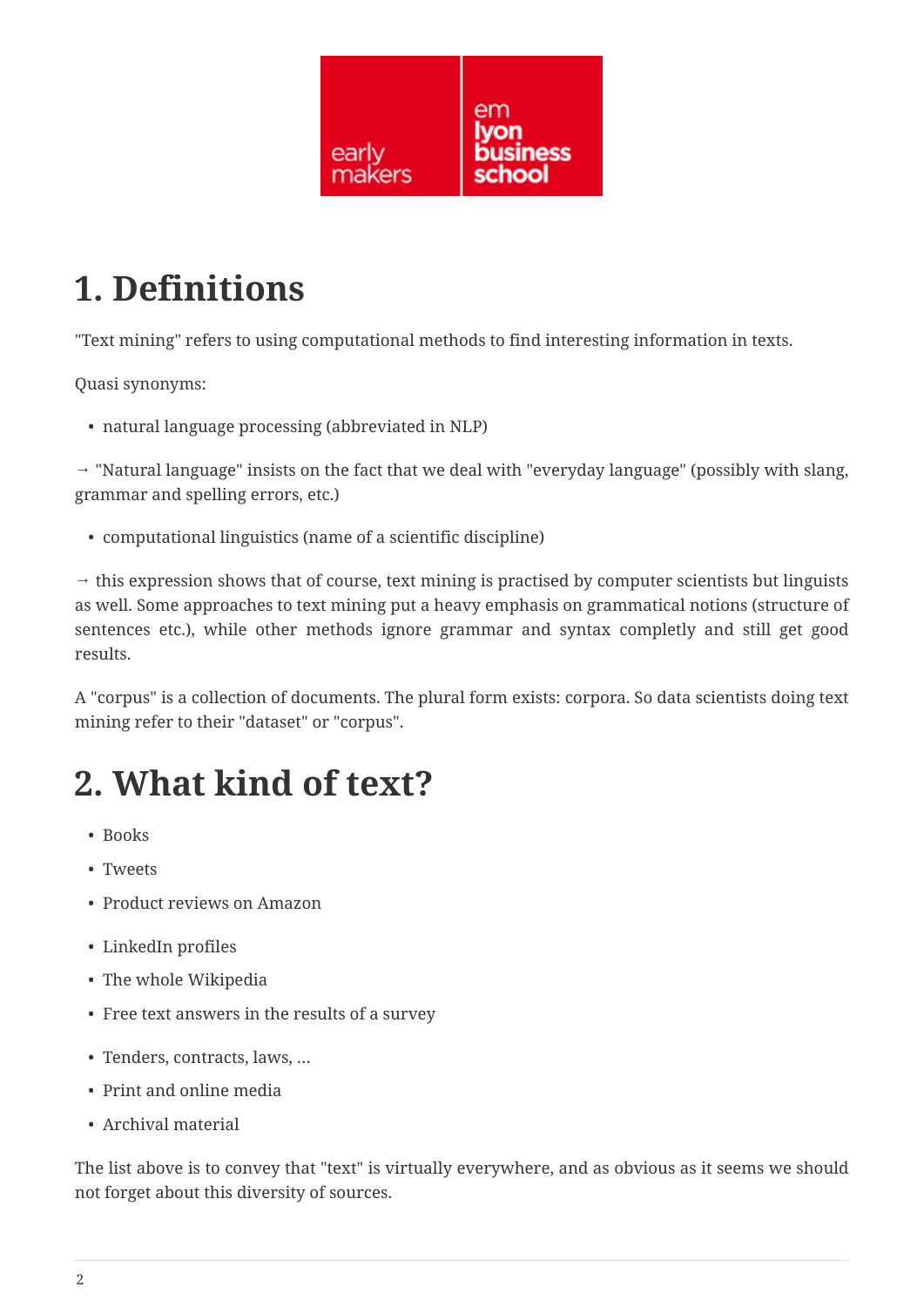

# <span id="page-1-0"></span>**1. Definitions**

"Text mining" refers to using computational methods to find interesting information in texts.

Quasi synonyms:

• natural language processing (abbreviated in NLP)

 $\rightarrow$  "Natural language" insists on the fact that we deal with "everyday language" (possibly with slang, grammar and spelling errors, etc.)

• computational linguistics (name of a scientific discipline)

 $\rightarrow$  this expression shows that of course, text mining is practised by computer scientists but linguists as well. Some approaches to text mining put a heavy emphasis on grammatical notions (structure of sentences etc.), while other methods ignore grammar and syntax completly and still get good results.

A "corpus" is a collection of documents. The plural form exists: corpora. So data scientists doing text mining refer to their "dataset" or "corpus".

# <span id="page-1-1"></span>**2. What kind of text?**

- Books
- Tweets
- Product reviews on Amazon
- LinkedIn profiles
- The whole Wikipedia
- Free text answers in the results of a survey
- Tenders, contracts, laws, …
- Print and online media
- Archival material

The list above is to convey that "text" is virtually everywhere, and as obvious as it seems we should not forget about this diversity of sources.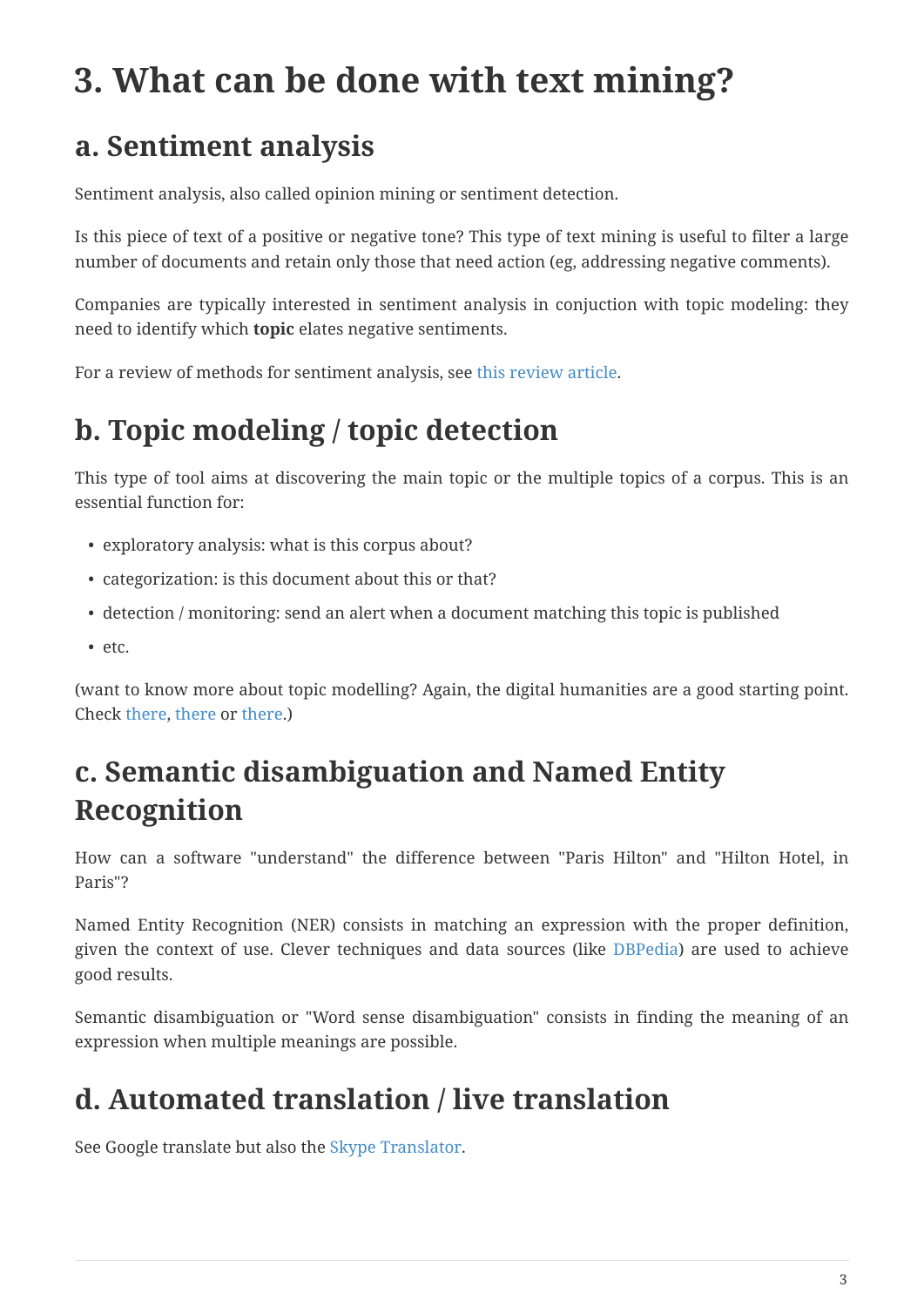# <span id="page-2-0"></span>**3. What can be done with text mining?**

#### <span id="page-2-1"></span>**a. Sentiment analysis**

Sentiment analysis, also called opinion mining or sentiment detection.

Is this piece of text of a positive or negative tone? This type of text mining is useful to filter a large number of documents and retain only those that need action (eg, addressing negative comments).

Companies are typically interested in sentiment analysis in conjuction with topic modeling: they need to identify which **topic** elates negative sentiments.

For a review of methods for sentiment analysis, see [this review article.](https://arxiv.org/abs/1512.01818)

### <span id="page-2-2"></span>**b. Topic modeling / topic detection**

This type of tool aims at discovering the main topic or the multiple topics of a corpus. This is an essential function for:

- exploratory analysis: what is this corpus about?
- categorization: is this document about this or that?
- detection / monitoring: send an alert when a document matching this topic is published
- etc.

(want to know more about topic modelling? Again, the digital humanities are a good starting point. Check [there,](http://www.scottbot.net/HIAL/index.html@p=221.html) [there](http://www.matthewjockers.net/2013/04/12/secret-recipe-for-topic-modeling-themes/) or [there](https://tedunderwood.com/2012/04/07/topic-modeling-made-just-simple-enough/).)

### <span id="page-2-3"></span>**c. Semantic disambiguation and Named Entity Recognition**

How can a software "understand" the difference between "Paris Hilton" and "Hilton Hotel, in Paris"?

Named Entity Recognition (NER) consists in matching an expression with the proper definition, given the context of use. Clever techniques and data sources (like [DBPedia](http://wiki.dbpedia.org/)) are used to achieve good results.

Semantic disambiguation or "Word sense disambiguation" consists in finding the meaning of an expression when multiple meanings are possible.

### <span id="page-2-4"></span>**d. Automated translation / live translation**

See Google translate but also the [Skype Translator.](https://www.skype.com/en/features/skype-translator/)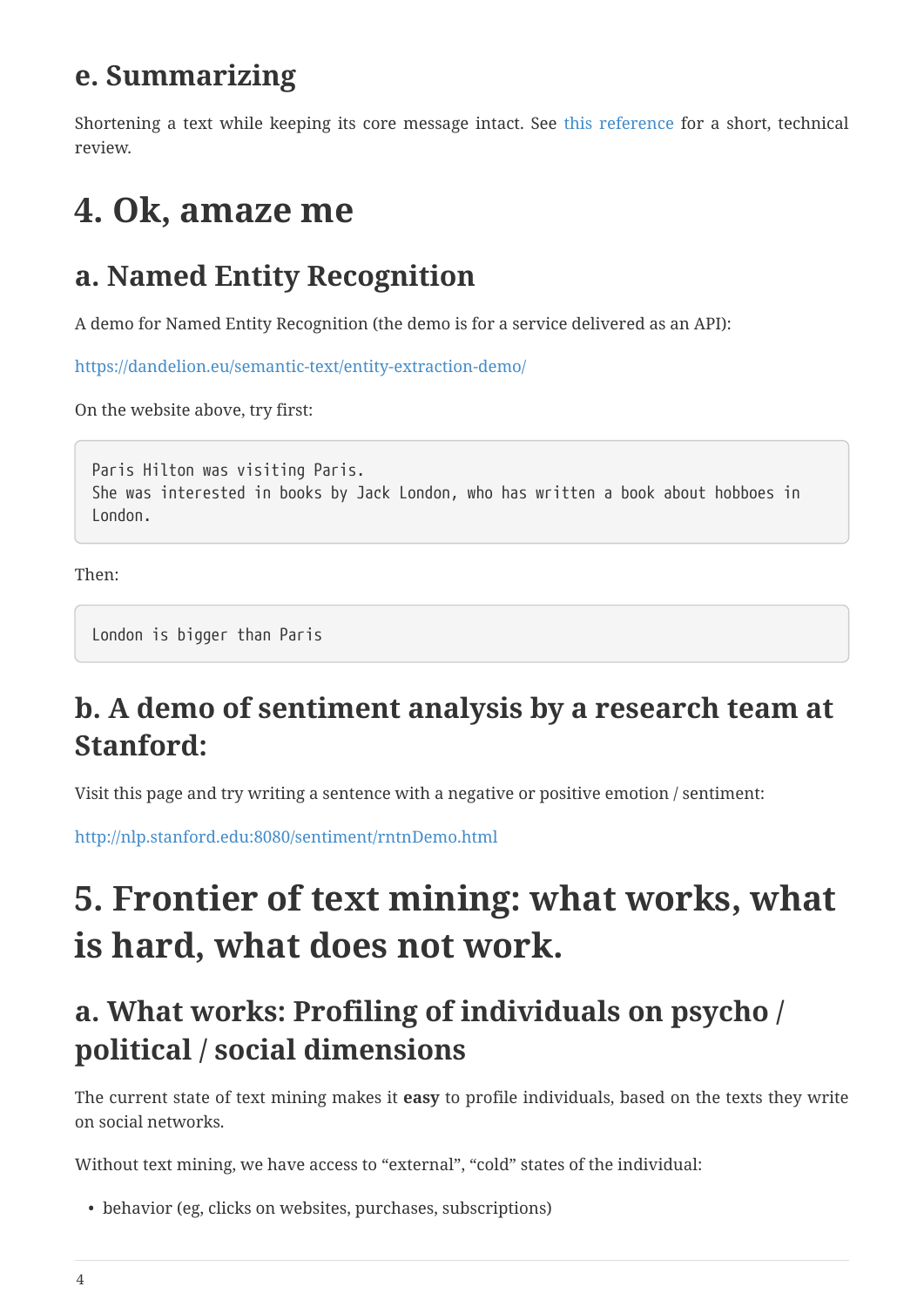#### <span id="page-3-0"></span>**e. Summarizing**

Shortening a text while keeping its core message intact. See [this reference](https://arxiv.org/abs/1707.02268) for a short, technical review.

# <span id="page-3-1"></span>**4. Ok, amaze me**

#### <span id="page-3-2"></span>**a. Named Entity Recognition**

A demo for Named Entity Recognition (the demo is for a service delivered as an API):

<https://dandelion.eu/semantic-text/entity-extraction-demo/>

On the website above, try first:

Paris Hilton was visiting Paris. She was interested in books by Jack London, who has written a book about hobboes in London.

Then:

London is bigger than Paris

### <span id="page-3-3"></span>**b. A demo of sentiment analysis by a research team at Stanford:**

Visit this page and try writing a sentence with a negative or positive emotion / sentiment:

<http://nlp.stanford.edu:8080/sentiment/rntnDemo.html>

# <span id="page-3-4"></span>**5. Frontier of text mining: what works, what is hard, what does not work.**

### <span id="page-3-5"></span>**a. What works: Profiling of individuals on psycho / political / social dimensions**

The current state of text mining makes it **easy** to profile individuals, based on the texts they write on social networks.

Without text mining, we have access to "external", "cold" states of the individual:

• behavior (eg, clicks on websites, purchases, subscriptions)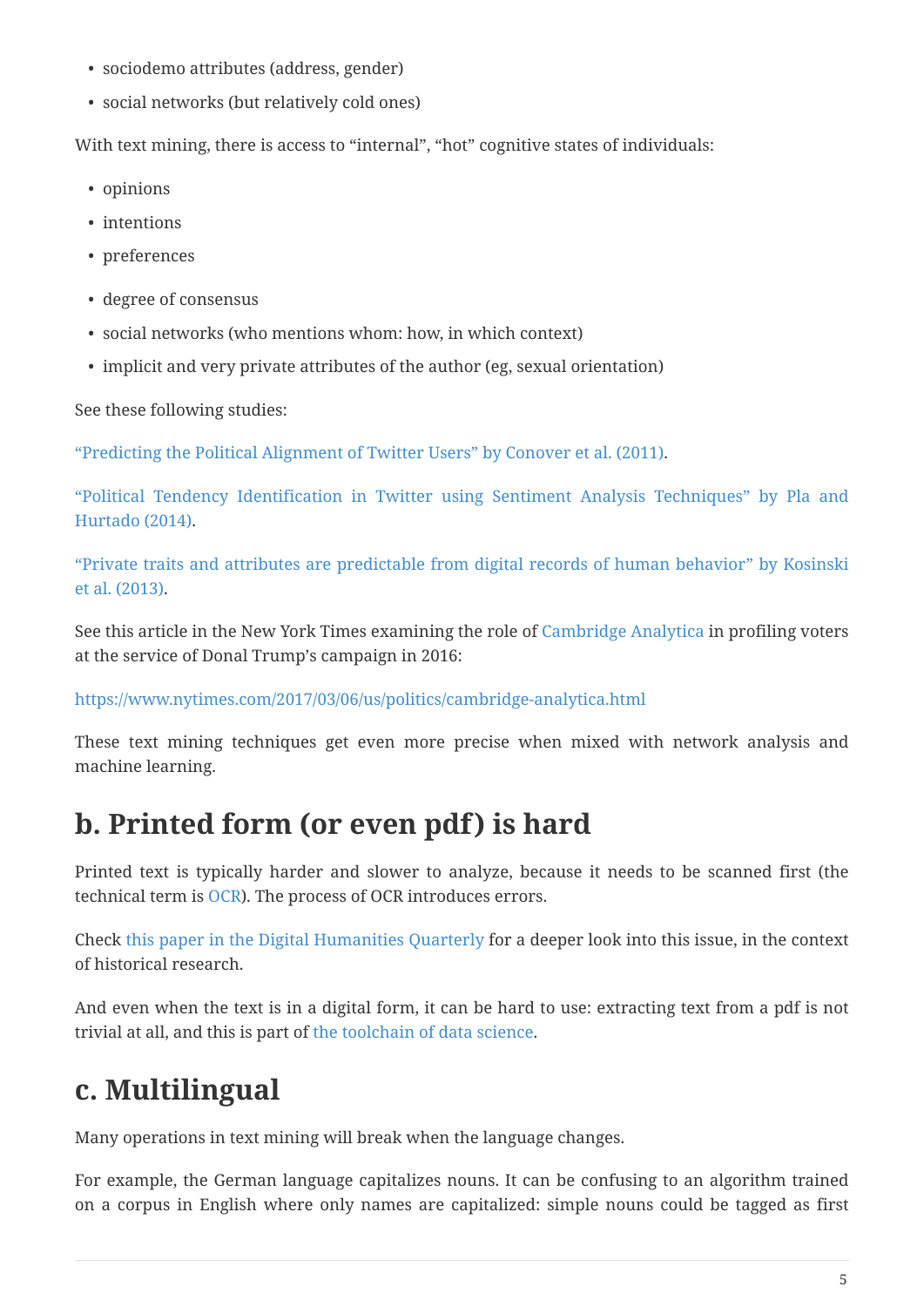- sociodemo attributes (address, gender)
- social networks (but relatively cold ones)

With text mining, there is access to "internal", "hot" cognitive states of individuals:

- opinions
- intentions
- preferences
- degree of consensus
- social networks (who mentions whom: how, in which context)
- implicit and very private attributes of the author (eg, sexual orientation)

See these following studies:

["Predicting the Political Alignment of Twitter Users" by Conover et al. \(2011\).](http://cnets.indiana.edu/wp-content/uploads/conover_prediction_socialcom_pdfexpress_ok_version.pdf)

["Political Tendency Identification in Twitter using Sentiment Analysis Techniques" by Pla and](http://anthology.aclweb.org/C/C14/C14-1019.pdf) [Hurtado \(2014\).](http://anthology.aclweb.org/C/C14/C14-1019.pdf)

["Private traits and attributes are predictable from digital records of human behavior" by Kosinski](http://www.pnas.org/content/110/15/5802.abstract) [et al. \(2013\).](http://www.pnas.org/content/110/15/5802.abstract)

See this article in the New York Times examining the role of [Cambridge Analytica](https://cambridgeanalytica.org/) in profiling voters at the service of Donal Trump's campaign in 2016:

<https://www.nytimes.com/2017/03/06/us/politics/cambridge-analytica.html>

These text mining techniques get even more precise when mixed with network analysis and machine learning.

#### <span id="page-4-0"></span>**b. Printed form (or even pdf) is hard**

Printed text is typically harder and slower to analyze, because it needs to be scanned first (the technical term is [OCR](https://en.wikipedia.org/wiki/Optical_character_recognition)). The process of OCR introduces errors.

Check [this paper in the Digital Humanities Quarterly](http://www.digitalhumanities.org/dhq/vol/8/1/000168/000168.html) for a deeper look into this issue, in the context of historical research.

And even when the text is in a digital form, it can be hard to use: extracting text from a pdf is not trivial at all, and this is part of [the toolchain of data science.](https://dss.iq.harvard.edu/blog/extracting-content-pdf-files)

#### <span id="page-4-1"></span>**c. Multilingual**

Many operations in text mining will break when the language changes.

For example, the German language capitalizes nouns. It can be confusing to an algorithm trained on a corpus in English where only names are capitalized: simple nouns could be tagged as first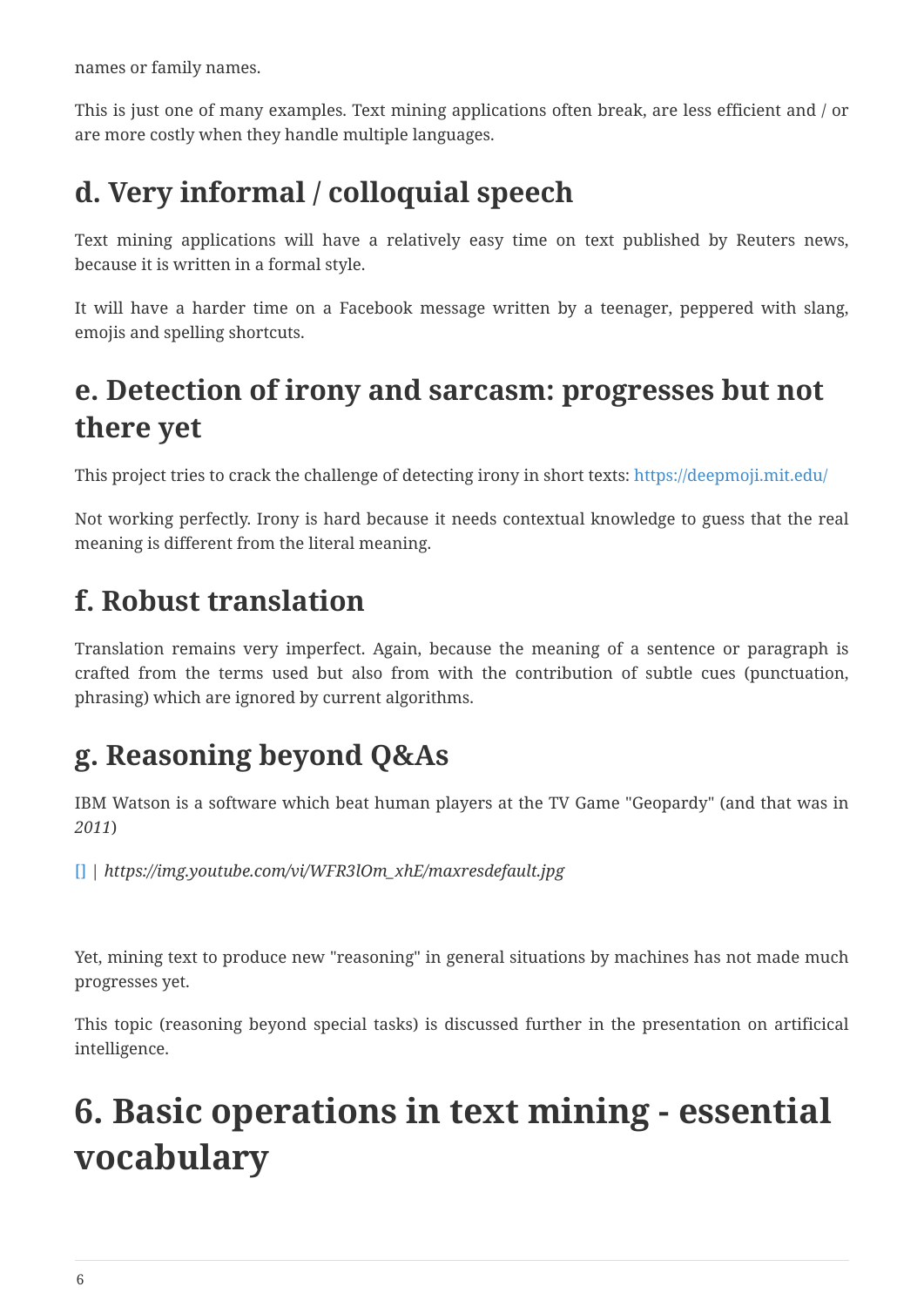names or family names.

This is just one of many examples. Text mining applications often break, are less efficient and / or are more costly when they handle multiple languages.

### <span id="page-5-0"></span>**d. Very informal / colloquial speech**

Text mining applications will have a relatively easy time on text published by Reuters news, because it is written in a formal style.

It will have a harder time on a Facebook message written by a teenager, peppered with slang, emojis and spelling shortcuts.

### <span id="page-5-1"></span>**e. Detection of irony and sarcasm: progresses but not there yet**

This project tries to crack the challenge of detecting irony in short texts: <https://deepmoji.mit.edu/>

Not working perfectly. Irony is hard because it needs contextual knowledge to guess that the real meaning is different from the literal meaning.

#### <span id="page-5-2"></span>**f. Robust translation**

Translation remains very imperfect. Again, because the meaning of a sentence or paragraph is crafted from the terms used but also from with the contribution of subtle cues (punctuation, phrasing) which are ignored by current algorithms.

### <span id="page-5-3"></span>**g. Reasoning beyond Q&As**

IBM Watson is a software which beat human players at the TV Game "Geopardy" (and that was in *2011*)

[\[\]](https://www.youtube.com/watch?v=WFR3lOm_xhE) | *https://img.youtube.com/vi/WFR3lOm\_xhE/maxresdefault.jpg*

Yet, mining text to produce new "reasoning" in general situations by machines has not made much progresses yet.

This topic (reasoning beyond special tasks) is discussed further in the presentation on artificical intelligence.

# <span id="page-5-4"></span>**6. Basic operations in text mining - essential vocabulary**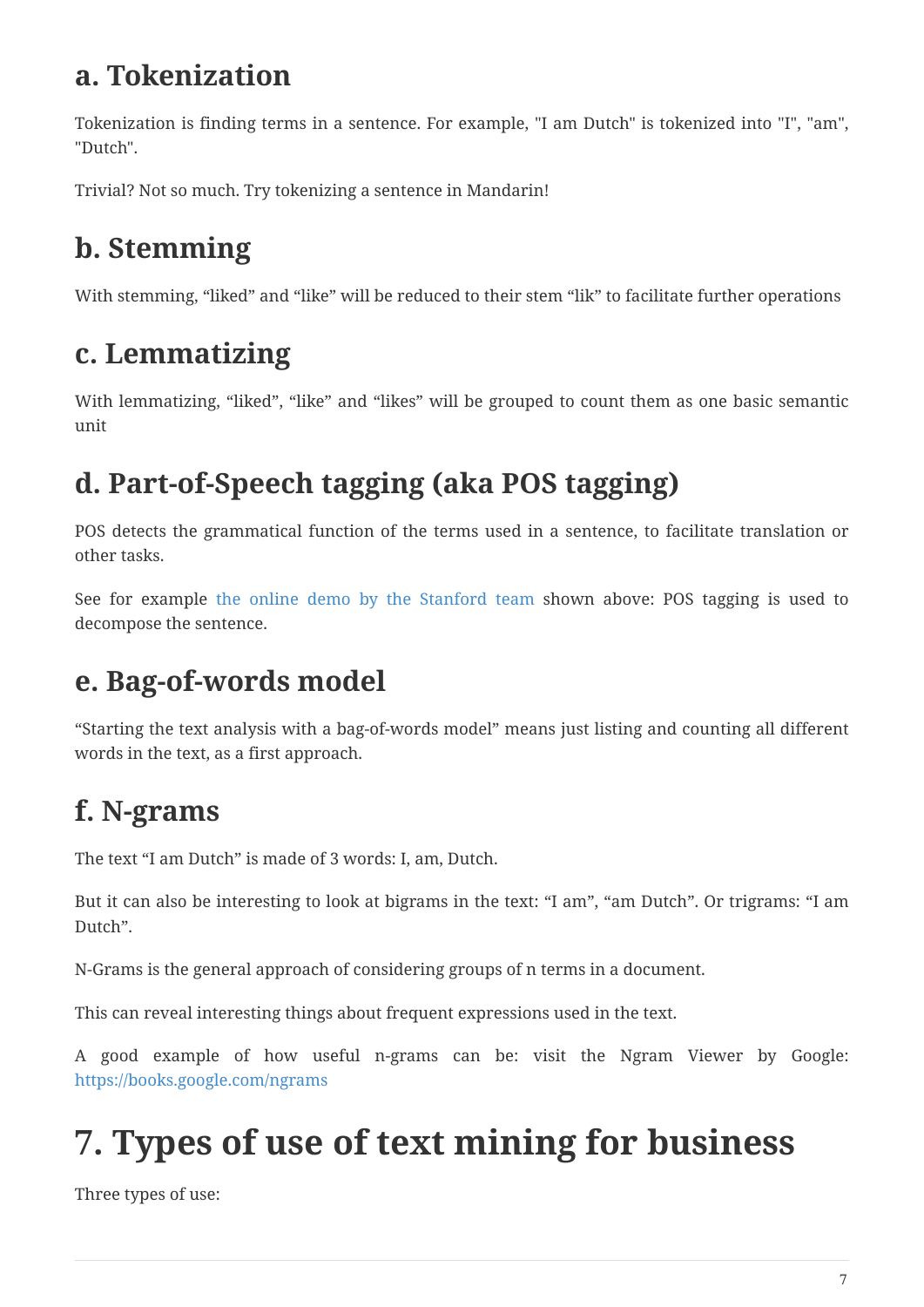#### <span id="page-6-0"></span>**a. Tokenization**

Tokenization is finding terms in a sentence. For example, "I am Dutch" is tokenized into "I", "am", "Dutch".

Trivial? Not so much. Try tokenizing a sentence in Mandarin!

# <span id="page-6-1"></span>**b. Stemming**

With stemming, "liked" and "like" will be reduced to their stem "lik" to facilitate further operations

### <span id="page-6-2"></span>**c. Lemmatizing**

With lemmatizing, "liked", "like" and "likes" will be grouped to count them as one basic semantic unit

### <span id="page-6-3"></span>**d. Part-of-Speech tagging (aka POS tagging)**

POS detects the grammatical function of the terms used in a sentence, to facilitate translation or other tasks.

See for example [the online demo by the Stanford team](http://nlp.stanford.edu:8080/sentiment/rntnDemo.html) shown above: POS tagging is used to decompose the sentence.

#### <span id="page-6-4"></span>**e. Bag-of-words model**

"Starting the text analysis with a bag-of-words model" means just listing and counting all different words in the text, as a first approach.

# <span id="page-6-5"></span>**f. N-grams**

The text "I am Dutch" is made of 3 words: I, am, Dutch.

But it can also be interesting to look at bigrams in the text: "I am", "am Dutch". Or trigrams: "I am Dutch".

N-Grams is the general approach of considering groups of n terms in a document.

This can reveal interesting things about frequent expressions used in the text.

A good example of how useful n-grams can be: visit the Ngram Viewer by Google: <https://books.google.com/ngrams>

# <span id="page-6-6"></span>**7. Types of use of text mining for business**

Three types of use: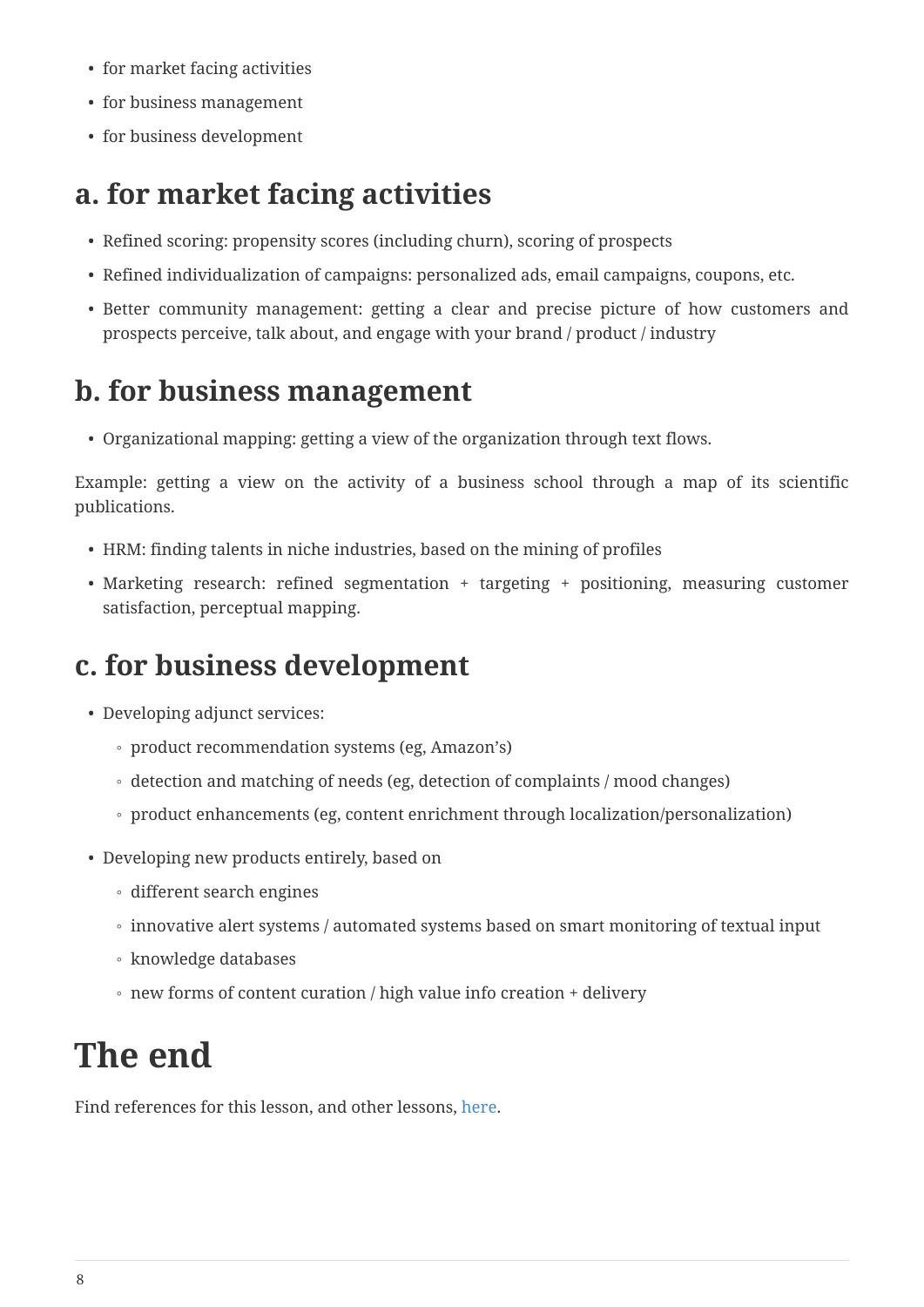- for market facing activities
- for business management
- for business development

#### <span id="page-7-0"></span>**a. for market facing activities**

- Refined scoring: propensity scores (including churn), scoring of prospects
- Refined individualization of campaigns: personalized ads, email campaigns, coupons, etc.
- Better community management: getting a clear and precise picture of how customers and prospects perceive, talk about, and engage with your brand / product / industry

#### <span id="page-7-1"></span>**b. for business management**

• Organizational mapping: getting a view of the organization through text flows.

Example: getting a view on the activity of a business school through a map of its scientific publications.

- HRM: finding talents in niche industries, based on the mining of profiles
- Marketing research: refined segmentation + targeting + positioning, measuring customer satisfaction, perceptual mapping.

#### <span id="page-7-2"></span>**c. for business development**

- Developing adjunct services:
	- product recommendation systems (eg, Amazon's)
	- detection and matching of needs (eg, detection of complaints / mood changes)
	- product enhancements (eg, content enrichment through localization/personalization)
- Developing new products entirely, based on
	- different search engines
	- innovative alert systems / automated systems based on smart monitoring of textual input
	- knowledge databases
	- new forms of content curation / high value info creation + delivery

# <span id="page-7-3"></span>**The end**

Find references for this lesson, and other lessons, [here](https://seinecle.github.io/mk99/).